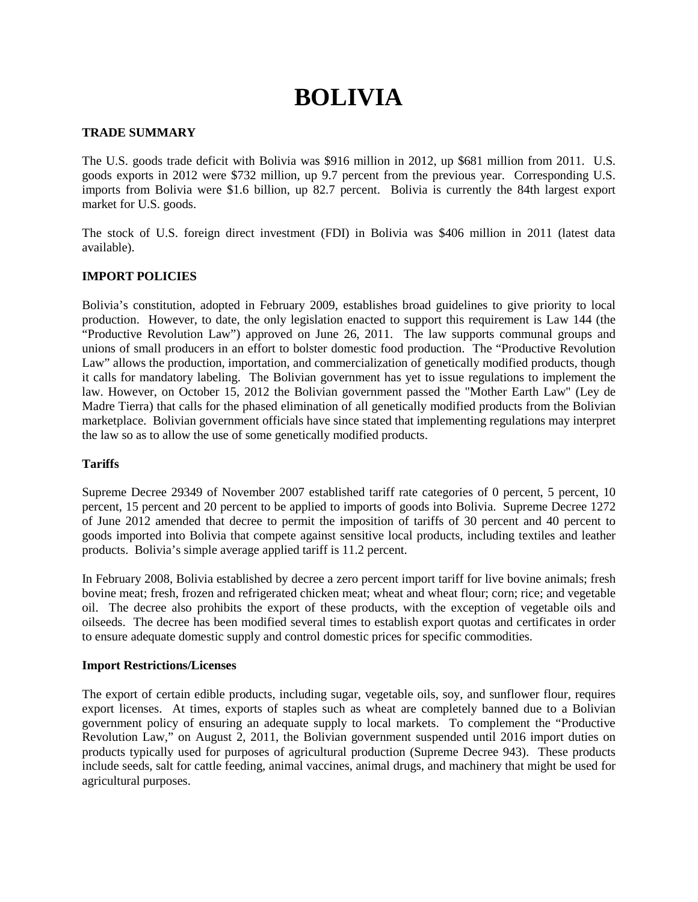# **BOLIVIA**

## **TRADE SUMMARY**

The U.S. goods trade deficit with Bolivia was \$916 million in 2012, up \$681 million from 2011. U.S. goods exports in 2012 were \$732 million, up 9.7 percent from the previous year. Corresponding U.S. imports from Bolivia were \$1.6 billion, up 82.7 percent. Bolivia is currently the 84th largest export market for U.S. goods.

The stock of U.S. foreign direct investment (FDI) in Bolivia was \$406 million in 2011 (latest data available).

## **IMPORT POLICIES**

Bolivia's constitution, adopted in February 2009, establishes broad guidelines to give priority to local production. However, to date, the only legislation enacted to support this requirement is Law 144 (the "Productive Revolution Law") approved on June 26, 2011. The law supports communal groups and unions of small producers in an effort to bolster domestic food production. The "Productive Revolution Law" allows the production, importation, and commercialization of genetically modified products, though it calls for mandatory labeling. The Bolivian government has yet to issue regulations to implement the law. However, on October 15, 2012 the Bolivian government passed the "Mother Earth Law" (Ley de Madre Tierra) that calls for the phased elimination of all genetically modified products from the Bolivian marketplace. Bolivian government officials have since stated that implementing regulations may interpret the law so as to allow the use of some genetically modified products.

# **Tariffs**

Supreme Decree 29349 of November 2007 established tariff rate categories of 0 percent, 5 percent, 10 percent, 15 percent and 20 percent to be applied to imports of goods into Bolivia. Supreme Decree 1272 of June 2012 amended that decree to permit the imposition of tariffs of 30 percent and 40 percent to goods imported into Bolivia that compete against sensitive local products, including textiles and leather products. Bolivia's simple average applied tariff is 11.2 percent.

In February 2008, Bolivia established by decree a zero percent import tariff for live bovine animals; fresh bovine meat; fresh, frozen and refrigerated chicken meat; wheat and wheat flour; corn; rice; and vegetable oil. The decree also prohibits the export of these products, with the exception of vegetable oils and oilseeds. The decree has been modified several times to establish export quotas and certificates in order to ensure adequate domestic supply and control domestic prices for specific commodities.

#### **Import Restrictions/Licenses**

The export of certain edible products, including sugar, vegetable oils, soy, and sunflower flour, requires export licenses. At times, exports of staples such as wheat are completely banned due to a Bolivian government policy of ensuring an adequate supply to local markets. To complement the "Productive Revolution Law," on August 2, 2011, the Bolivian government suspended until 2016 import duties on products typically used for purposes of agricultural production (Supreme Decree 943). These products include seeds, salt for cattle feeding, animal vaccines, animal drugs, and machinery that might be used for agricultural purposes.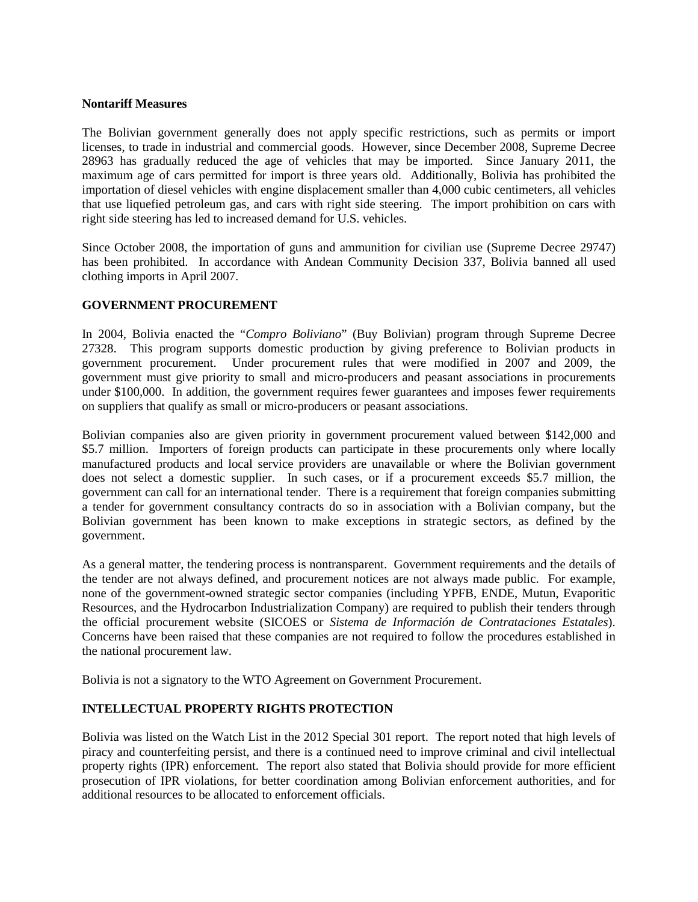## **Nontariff Measures**

The Bolivian government generally does not apply specific restrictions, such as permits or import licenses, to trade in industrial and commercial goods. However, since December 2008, Supreme Decree 28963 has gradually reduced the age of vehicles that may be imported. Since January 2011, the maximum age of cars permitted for import is three years old. Additionally, Bolivia has prohibited the importation of diesel vehicles with engine displacement smaller than 4,000 cubic centimeters, all vehicles that use liquefied petroleum gas, and cars with right side steering. The import prohibition on cars with right side steering has led to increased demand for U.S. vehicles.

Since October 2008, the importation of guns and ammunition for civilian use (Supreme Decree 29747) has been prohibited. In accordance with Andean Community Decision 337, Bolivia banned all used clothing imports in April 2007.

# **GOVERNMENT PROCUREMENT**

In 2004, Bolivia enacted the "*Compro Boliviano*" (Buy Bolivian) program through Supreme Decree 27328. This program supports domestic production by giving preference to Bolivian products in government procurement. Under procurement rules that were modified in 2007 and 2009, the government must give priority to small and micro-producers and peasant associations in procurements under \$100,000. In addition, the government requires fewer guarantees and imposes fewer requirements on suppliers that qualify as small or micro-producers or peasant associations.

Bolivian companies also are given priority in government procurement valued between \$142,000 and \$5.7 million. Importers of foreign products can participate in these procurements only where locally manufactured products and local service providers are unavailable or where the Bolivian government does not select a domestic supplier. In such cases, or if a procurement exceeds \$5.7 million, the government can call for an international tender. There is a requirement that foreign companies submitting a tender for government consultancy contracts do so in association with a Bolivian company, but the Bolivian government has been known to make exceptions in strategic sectors, as defined by the government.

As a general matter, the tendering process is nontransparent. Government requirements and the details of the tender are not always defined, and procurement notices are not always made public. For example, none of the government-owned strategic sector companies (including YPFB, ENDE, Mutun, Evaporitic Resources, and the Hydrocarbon Industrialization Company) are required to publish their tenders through the official procurement website (SICOES or *Sistema de Información de Contrataciones Estatales*). Concerns have been raised that these companies are not required to follow the procedures established in the national procurement law.

Bolivia is not a signatory to the WTO Agreement on Government Procurement.

# **INTELLECTUAL PROPERTY RIGHTS PROTECTION**

Bolivia was listed on the Watch List in the 2012 Special 301 report. The report noted that high levels of piracy and counterfeiting persist, and there is a continued need to improve criminal and civil intellectual property rights (IPR) enforcement. The report also stated that Bolivia should provide for more efficient prosecution of IPR violations, for better coordination among Bolivian enforcement authorities, and for additional resources to be allocated to enforcement officials.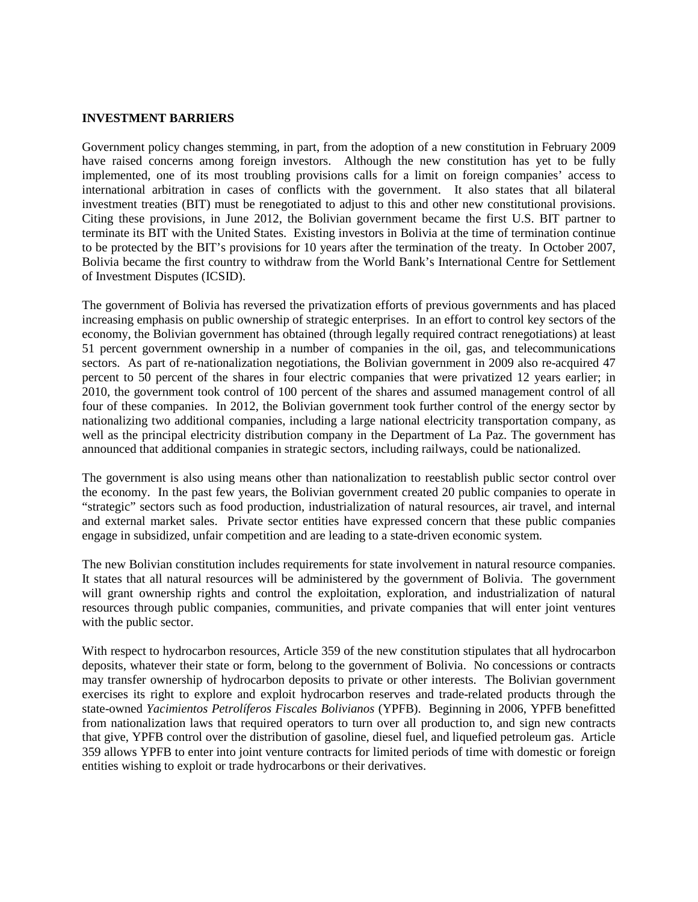#### **INVESTMENT BARRIERS**

Government policy changes stemming, in part, from the adoption of a new constitution in February 2009 have raised concerns among foreign investors. Although the new constitution has yet to be fully implemented, one of its most troubling provisions calls for a limit on foreign companies' access to international arbitration in cases of conflicts with the government. It also states that all bilateral investment treaties (BIT) must be renegotiated to adjust to this and other new constitutional provisions. Citing these provisions, in June 2012, the Bolivian government became the first U.S. BIT partner to terminate its BIT with the United States. Existing investors in Bolivia at the time of termination continue to be protected by the BIT's provisions for 10 years after the termination of the treaty. In October 2007, Bolivia became the first country to withdraw from the World Bank's International Centre for Settlement of Investment Disputes (ICSID).

The government of Bolivia has reversed the privatization efforts of previous governments and has placed increasing emphasis on public ownership of strategic enterprises. In an effort to control key sectors of the economy, the Bolivian government has obtained (through legally required contract renegotiations) at least 51 percent government ownership in a number of companies in the oil, gas, and telecommunications sectors. As part of re-nationalization negotiations, the Bolivian government in 2009 also re-acquired 47 percent to 50 percent of the shares in four electric companies that were privatized 12 years earlier; in 2010, the government took control of 100 percent of the shares and assumed management control of all four of these companies. In 2012, the Bolivian government took further control of the energy sector by nationalizing two additional companies, including a large national electricity transportation company, as well as the principal electricity distribution company in the Department of La Paz. The government has announced that additional companies in strategic sectors, including railways, could be nationalized.

The government is also using means other than nationalization to reestablish public sector control over the economy. In the past few years, the Bolivian government created 20 public companies to operate in "strategic" sectors such as food production, industrialization of natural resources, air travel, and internal and external market sales. Private sector entities have expressed concern that these public companies engage in subsidized, unfair competition and are leading to a state-driven economic system.

The new Bolivian constitution includes requirements for state involvement in natural resource companies. It states that all natural resources will be administered by the government of Bolivia. The government will grant ownership rights and control the exploitation, exploration, and industrialization of natural resources through public companies, communities, and private companies that will enter joint ventures with the public sector.

With respect to hydrocarbon resources, Article 359 of the new constitution stipulates that all hydrocarbon deposits, whatever their state or form, belong to the government of Bolivia. No concessions or contracts may transfer ownership of hydrocarbon deposits to private or other interests. The Bolivian government exercises its right to explore and exploit hydrocarbon reserves and trade-related products through the state-owned *Yacimientos Petrolíferos Fiscales Bolivianos* (YPFB). Beginning in 2006, YPFB benefitted from nationalization laws that required operators to turn over all production to, and sign new contracts that give, YPFB control over the distribution of gasoline, diesel fuel, and liquefied petroleum gas. Article 359 allows YPFB to enter into joint venture contracts for limited periods of time with domestic or foreign entities wishing to exploit or trade hydrocarbons or their derivatives.